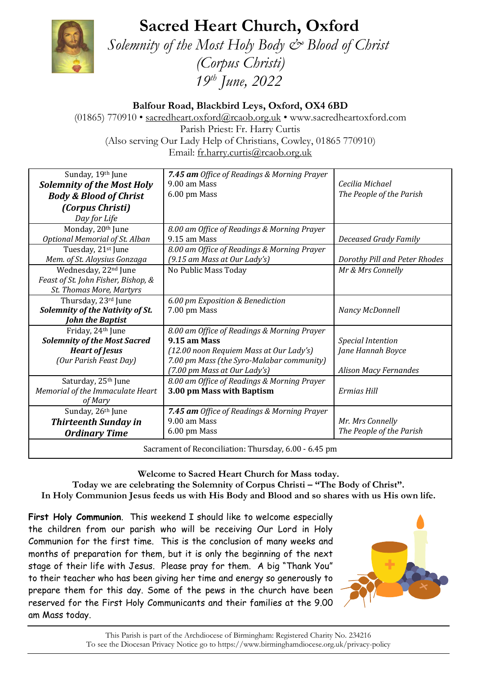## **Sacred Heart Church, Oxford**



 *Solemnity of the Most Holy Body & Blood of Christ*

*(Corpus Christi) 19 th June, 2022*

**Balfour Road, Blackbird Leys, Oxford, OX4 6BD**

(01865) 770910 • [sacredheart.oxford@rcaob.org.uk](mailto:sacredheart.oxford@rcaob.org.uk) • www.sacredheartoxford.com Parish Priest: Fr. Harry Curtis (Also serving Our Lady Help of Christians, Cowley, 01865 770910) Email: [fr.harry.curtis@rcaob.org.uk](mailto:fr.harry.curtis@rcaob.org.uk)

| Sunday, 19th June                                     | 7.45 am Office of Readings & Morning Prayer |                               |
|-------------------------------------------------------|---------------------------------------------|-------------------------------|
| <b>Solemnity of the Most Holy</b>                     | 9.00 am Mass                                | Cecilia Michael               |
| <b>Body &amp; Blood of Christ</b>                     | 6.00 pm Mass                                | The People of the Parish      |
| (Corpus Christi)                                      |                                             |                               |
| Day for Life                                          |                                             |                               |
| Monday, 20th June                                     | 8.00 am Office of Readings & Morning Prayer |                               |
| <b>Optional Memorial of St. Alban</b>                 | 9.15 am Mass                                | <b>Deceased Grady Family</b>  |
| Tuesday, 21st June                                    | 8.00 am Office of Readings & Morning Prayer |                               |
| Mem. of St. Aloysius Gonzaga                          | (9.15 am Mass at Our Lady's)                | Dorothy Pill and Peter Rhodes |
| Wednesday, 22 <sup>nd</sup> June                      | No Public Mass Today                        | Mr & Mrs Connelly             |
| Feast of St. John Fisher, Bishop, &                   |                                             |                               |
| St. Thomas More, Martyrs                              |                                             |                               |
| Thursday, 23rd June                                   | 6.00 pm Exposition & Benediction            |                               |
| Solemnity of the Nativity of St.                      | 7.00 pm Mass                                | Nancy McDonnell               |
| John the Baptist                                      |                                             |                               |
| Friday, 24th June                                     | 8.00 am Office of Readings & Morning Prayer |                               |
| <b>Solemnity of the Most Sacred</b>                   | 9.15 am Mass                                | <b>Special Intention</b>      |
| <b>Heart of Jesus</b>                                 | (12.00 noon Requiem Mass at Our Lady's)     | Jane Hannah Boyce             |
| (Our Parish Feast Day)                                | 7.00 pm Mass (the Syro-Malabar community)   |                               |
|                                                       | (7.00 pm Mass at Our Lady's)                | <b>Alison Macy Fernandes</b>  |
| Saturday, 25th June                                   | 8.00 am Office of Readings & Morning Prayer |                               |
| Memorial of the Immaculate Heart                      | 3.00 pm Mass with Baptism                   | Ermias Hill                   |
| of Mary                                               |                                             |                               |
| Sunday, 26th June                                     | 7.45 am Office of Readings & Morning Prayer |                               |
| <b>Thirteenth Sunday in</b>                           | 9.00 am Mass                                | Mr. Mrs Connelly              |
| <b>Ordinary Time</b>                                  | 6.00 pm Mass                                | The People of the Parish      |
| Sacrament of Reconciliation: Thursday, 6.00 - 6.45 pm |                                             |                               |

**Welcome to Sacred Heart Church for Mass today. Today we are celebrating the Solemnity of Corpus Christi – "The Body of Christ".** 

**In Holy Communion Jesus feeds us with His Body and Blood and so shares with us His own life.**

**First Holy Communion**. This weekend I should like to welcome especially the children from our parish who will be receiving Our Lord in Holy Communion for the first time. This is the conclusion of many weeks and months of preparation for them, but it is only the beginning of the next stage of their life with Jesus. Please pray for them. A big "Thank You" to their teacher who has been giving her time and energy so generously to prepare them for this day. Some of the pews in the church have been reserved for the First Holy Communicants and their families at the 9.00 am Mass today.